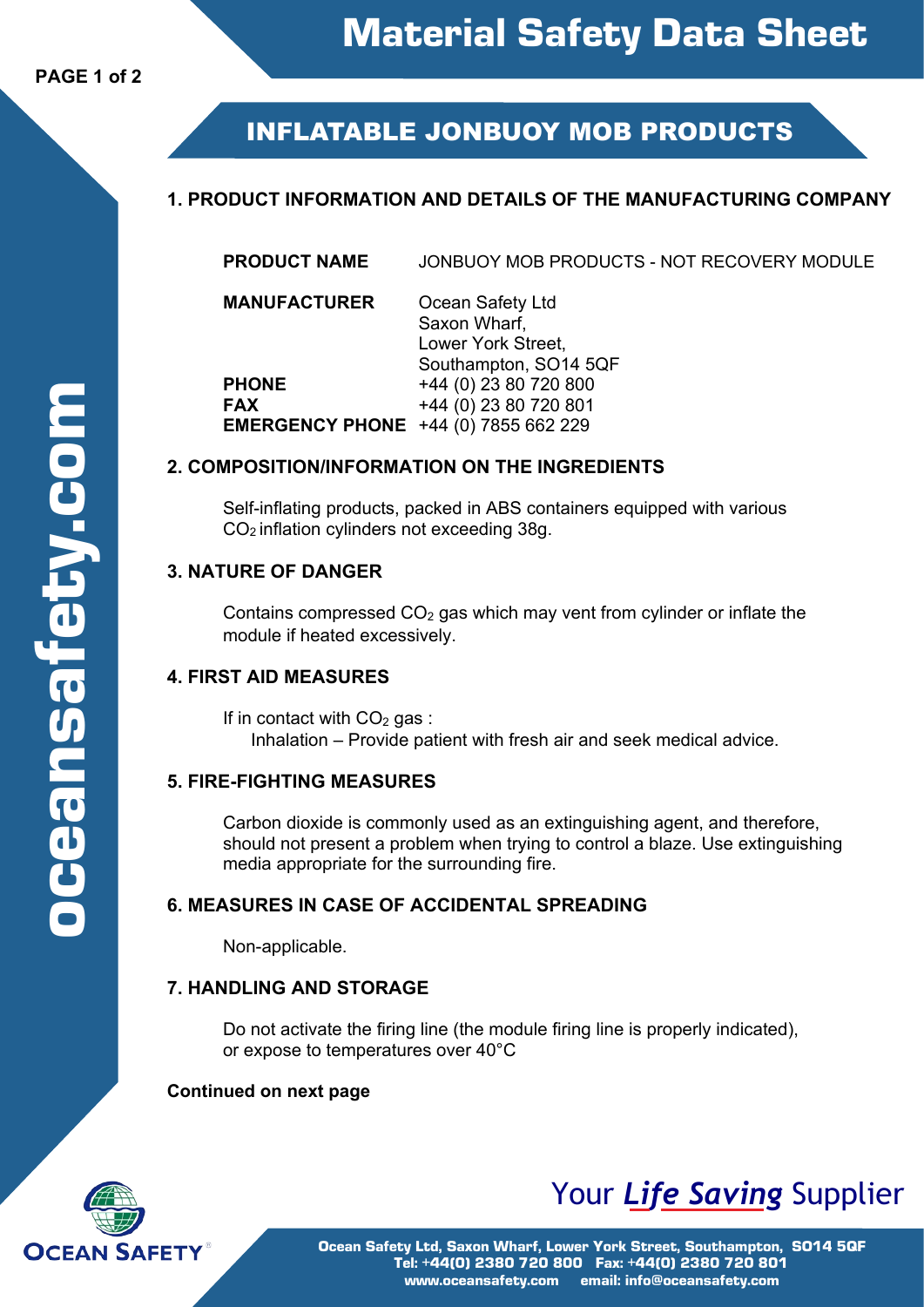# **INFLATABLE JONBUOY MOB PRODUCTS**

## **1. PRODUCT INFORMATION AND DETAILS OF THE MANUFACTURING COMPANY**

**PRODUCT NAME** JONBUOY MOB PRODUCTS - NOT RECOVERY MODULE

**MANUFACTURER** Ocean Safety Ltd Saxon Wharf, Lower York Street, Southampton, SO14 5QF **PHONE** +44 (0) 23 80 720 800<br> **FAX** +44 (0) 23 80 720 801 **FAX** +44 (0) 23 80 720 801 **EMERGENCY PHONE** +44 (0) 7855 662 229

#### **2. COMPOSITION/INFORMATION ON THE INGREDIENTS**

Self-inflating products, packed in ABS containers equipped with various CO<sup>2</sup> inflation cylinders not exceeding 38g.

#### **3. NATURE OF DANGER**

Contains compressed  $CO<sub>2</sub>$  gas which may vent from cylinder or inflate the module if heated excessively.

## **4. FIRST AID MEASURES**

If in contact with  $CO<sub>2</sub>$  gas : Inhalation – Provide patient with fresh air and seek medical advice.

#### **5. FIRE-FIGHTING MEASURES**

Carbon dioxide is commonly used as an extinguishing agent, and therefore, should not present a problem when trying to control a blaze. Use extinguishing media appropriate for the surrounding fire.

#### **6. MEASURES IN CASE OF ACCIDENTAL SPREADING**

Non-applicable.

#### **7. HANDLING AND STORAGE**

Do not activate the firing line (the module firing line is properly indicated), or expose to temperatures over 40°C

#### **Continued on next page**



# Your *Life Saving* Supplier